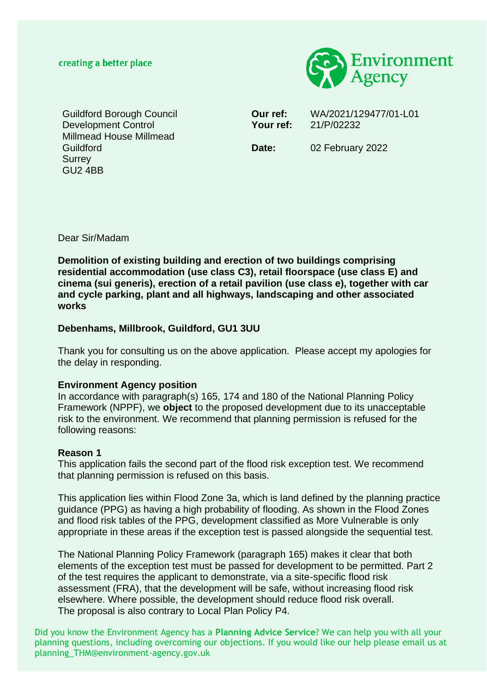

Guildford Borough Council Development Control Millmead House Millmead Guildford **Surrey** GU2 4BB

**Our ref:** WA/2021/129477/01-L01 **Your ref:** 21/P/02232

**Date:** 02 February 2022

Dear Sir/Madam

**Demolition of existing building and erection of two buildings comprising residential accommodation (use class C3), retail floorspace (use class E) and cinema (sui generis), erection of a retail pavilion (use class e), together with car and cycle parking, plant and all highways, landscaping and other associated works** 

#### **Debenhams, Millbrook, Guildford, GU1 3UU**

Thank you for consulting us on the above application. Please accept my apologies for the delay in responding.

#### **Environment Agency position**

In accordance with paragraph(s) 165, 174 and 180 of the National Planning Policy Framework (NPPF), we **object** to the proposed development due to its unacceptable risk to the environment. We recommend that planning permission is refused for the following reasons:

#### **Reason 1**

This application fails the second part of the flood risk exception test. We recommend that planning permission is refused on this basis.

This application lies within Flood Zone 3a, which is land defined by the planning practice guidance (PPG) as having a high probability of flooding. As shown in the Flood Zones and flood risk tables of the PPG, development classified as More Vulnerable is only appropriate in these areas if the exception test is passed alongside the sequential test.

The National Planning Policy Framework (paragraph 165) makes it clear that both elements of the exception test must be passed for development to be permitted. Part 2 of the test requires the applicant to demonstrate, via a site-specific flood risk assessment (FRA), that the development will be safe, without increasing flood risk elsewhere. Where possible, the development should reduce flood risk overall. The proposal is also contrary to Local Plan Policy P4.

Did you know the Environment Agency has a **Planning Advice Service**? We can help you with all your planning questions, including overcoming our objections. If you would like our help please email us at planning\_THM@environment-agency.gov.uk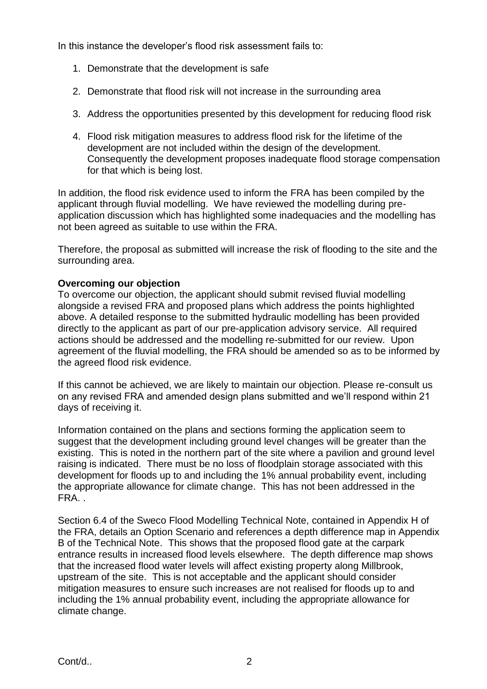In this instance the developer's flood risk assessment fails to:

- 1. Demonstrate that the development is safe
- 2. Demonstrate that flood risk will not increase in the surrounding area
- 3. Address the opportunities presented by this development for reducing flood risk
- 4. Flood risk mitigation measures to address flood risk for the lifetime of the development are not included within the design of the development. Consequently the development proposes inadequate flood storage compensation for that which is being lost.

In addition, the flood risk evidence used to inform the FRA has been compiled by the applicant through fluvial modelling. We have reviewed the modelling during preapplication discussion which has highlighted some inadequacies and the modelling has not been agreed as suitable to use within the FRA.

Therefore, the proposal as submitted will increase the risk of flooding to the site and the surrounding area.

# **Overcoming our objection**

To overcome our objection, the applicant should submit revised fluvial modelling alongside a revised FRA and proposed plans which address the points highlighted above. A detailed response to the submitted hydraulic modelling has been provided directly to the applicant as part of our pre-application advisory service. All required actions should be addressed and the modelling re-submitted for our review. Upon agreement of the fluvial modelling, the FRA should be amended so as to be informed by the agreed flood risk evidence.

If this cannot be achieved, we are likely to maintain our objection. Please re-consult us on any revised FRA and amended design plans submitted and we'll respond within 21 days of receiving it.

Information contained on the plans and sections forming the application seem to suggest that the development including ground level changes will be greater than the existing. This is noted in the northern part of the site where a pavilion and ground level raising is indicated. There must be no loss of floodplain storage associated with this development for floods up to and including the 1% annual probability event, including the appropriate allowance for climate change. This has not been addressed in the FRA. .

Section 6.4 of the Sweco Flood Modelling Technical Note, contained in Appendix H of the FRA, details an Option Scenario and references a depth difference map in Appendix B of the Technical Note. This shows that the proposed flood gate at the carpark entrance results in increased flood levels elsewhere. The depth difference map shows that the increased flood water levels will affect existing property along Millbrook, upstream of the site. This is not acceptable and the applicant should consider mitigation measures to ensure such increases are not realised for floods up to and including the 1% annual probability event, including the appropriate allowance for climate change.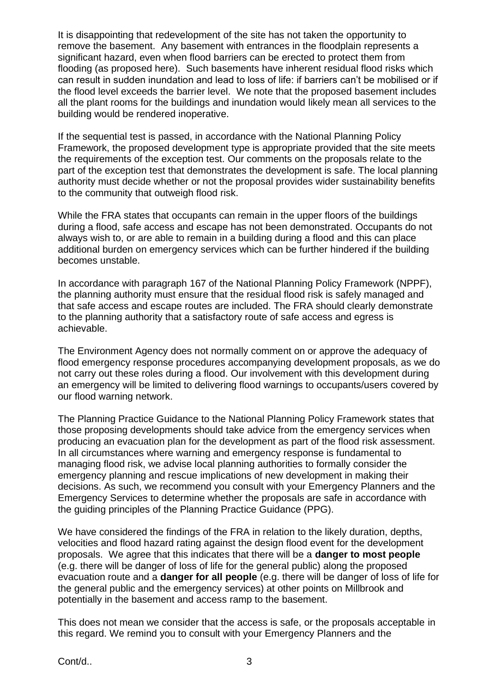It is disappointing that redevelopment of the site has not taken the opportunity to remove the basement. Any basement with entrances in the floodplain represents a significant hazard, even when flood barriers can be erected to protect them from flooding (as proposed here). Such basements have inherent residual flood risks which can result in sudden inundation and lead to loss of life: if barriers can't be mobilised or if the flood level exceeds the barrier level. We note that the proposed basement includes all the plant rooms for the buildings and inundation would likely mean all services to the building would be rendered inoperative.

If the sequential test is passed, in accordance with the National Planning Policy Framework, the proposed development type is appropriate provided that the site meets the requirements of the exception test. Our comments on the proposals relate to the part of the exception test that demonstrates the development is safe. The local planning authority must decide whether or not the proposal provides wider sustainability benefits to the community that outweigh flood risk.

While the FRA states that occupants can remain in the upper floors of the buildings during a flood, safe access and escape has not been demonstrated. Occupants do not always wish to, or are able to remain in a building during a flood and this can place additional burden on emergency services which can be further hindered if the building becomes unstable.

In accordance with paragraph 167 of the National Planning Policy Framework (NPPF), the planning authority must ensure that the residual flood risk is safely managed and that safe access and escape routes are included. The FRA should clearly demonstrate to the planning authority that a satisfactory route of safe access and egress is achievable.

The Environment Agency does not normally comment on or approve the adequacy of flood emergency response procedures accompanying development proposals, as we do not carry out these roles during a flood. Our involvement with this development during an emergency will be limited to delivering flood warnings to occupants/users covered by our flood warning network.

The Planning Practice Guidance to the National Planning Policy Framework states that those proposing developments should take advice from the emergency services when producing an evacuation plan for the development as part of the flood risk assessment. In all circumstances where warning and emergency response is fundamental to managing flood risk, we advise local planning authorities to formally consider the emergency planning and rescue implications of new development in making their decisions. As such, we recommend you consult with your Emergency Planners and the Emergency Services to determine whether the proposals are safe in accordance with the guiding principles of the Planning Practice Guidance (PPG).

We have considered the findings of the FRA in relation to the likely duration, depths, velocities and flood hazard rating against the design flood event for the development proposals. We agree that this indicates that there will be a **danger to most people** (e.g. there will be danger of loss of life for the general public) along the proposed evacuation route and a **danger for all people** (e.g. there will be danger of loss of life for the general public and the emergency services) at other points on Millbrook and potentially in the basement and access ramp to the basement.

This does not mean we consider that the access is safe, or the proposals acceptable in this regard. We remind you to consult with your Emergency Planners and the

Cont/d.. 3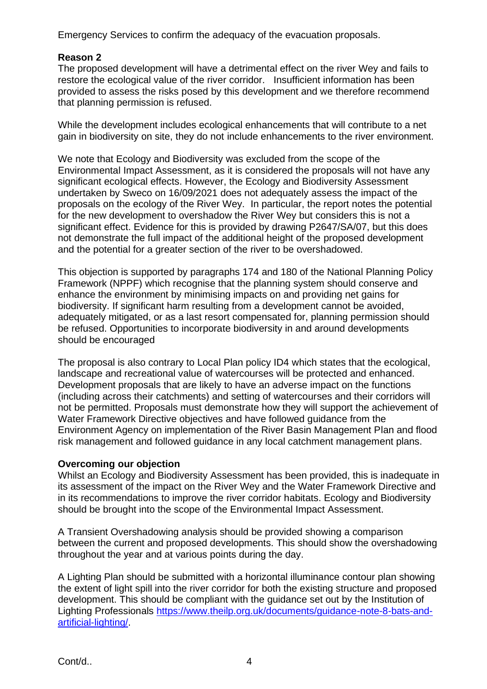Emergency Services to confirm the adequacy of the evacuation proposals.

# **Reason 2**

The proposed development will have a detrimental effect on the river Wey and fails to restore the ecological value of the river corridor. Insufficient information has been provided to assess the risks posed by this development and we therefore recommend that planning permission is refused.

While the development includes ecological enhancements that will contribute to a net gain in biodiversity on site, they do not include enhancements to the river environment.

We note that Ecology and Biodiversity was excluded from the scope of the Environmental Impact Assessment, as it is considered the proposals will not have any significant ecological effects. However, the Ecology and Biodiversity Assessment undertaken by Sweco on 16/09/2021 does not adequately assess the impact of the proposals on the ecology of the River Wey. In particular, the report notes the potential for the new development to overshadow the River Wey but considers this is not a significant effect. Evidence for this is provided by drawing P2647/SA/07, but this does not demonstrate the full impact of the additional height of the proposed development and the potential for a greater section of the river to be overshadowed.

This objection is supported by paragraphs 174 and 180 of the National Planning Policy Framework (NPPF) which recognise that the planning system should conserve and enhance the environment by minimising impacts on and providing net gains for biodiversity. If significant harm resulting from a development cannot be avoided, adequately mitigated, or as a last resort compensated for, planning permission should be refused. Opportunities to incorporate biodiversity in and around developments should be encouraged

The proposal is also contrary to Local Plan policy ID4 which states that the ecological, landscape and recreational value of watercourses will be protected and enhanced. Development proposals that are likely to have an adverse impact on the functions (including across their catchments) and setting of watercourses and their corridors will not be permitted. Proposals must demonstrate how they will support the achievement of Water Framework Directive objectives and have followed guidance from the Environment Agency on implementation of the River Basin Management Plan and flood risk management and followed guidance in any local catchment management plans.

### **Overcoming our objection**

Whilst an Ecology and Biodiversity Assessment has been provided, this is inadequate in its assessment of the impact on the River Wey and the Water Framework Directive and in its recommendations to improve the river corridor habitats. Ecology and Biodiversity should be brought into the scope of the Environmental Impact Assessment.

A Transient Overshadowing analysis should be provided showing a comparison between the current and proposed developments. This should show the overshadowing throughout the year and at various points during the day.

A Lighting Plan should be submitted with a horizontal illuminance contour plan showing the extent of light spill into the river corridor for both the existing structure and proposed development. This should be compliant with the guidance set out by the Institution of Lighting Professionals [https://www.theilp.org.uk/documents/guidance-note-8-bats-and](https://www.theilp.org.uk/documents/guidance-note-8-bats-and-artificial-lighting/)[artificial-lighting/.](https://www.theilp.org.uk/documents/guidance-note-8-bats-and-artificial-lighting/)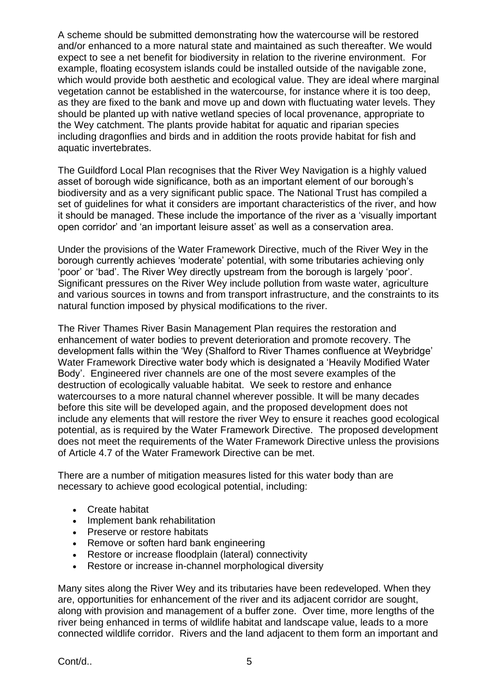A scheme should be submitted demonstrating how the watercourse will be restored and/or enhanced to a more natural state and maintained as such thereafter. We would expect to see a net benefit for biodiversity in relation to the riverine environment. For example, floating ecosystem islands could be installed outside of the navigable zone, which would provide both aesthetic and ecological value. They are ideal where marginal vegetation cannot be established in the watercourse, for instance where it is too deep, as they are fixed to the bank and move up and down with fluctuating water levels. They should be planted up with native wetland species of local provenance, appropriate to the Wey catchment. The plants provide habitat for aquatic and riparian species including dragonflies and birds and in addition the roots provide habitat for fish and aquatic invertebrates.

The Guildford Local Plan recognises that the River Wey Navigation is a highly valued asset of borough wide significance, both as an important element of our borough's biodiversity and as a very significant public space. The National Trust has compiled a set of guidelines for what it considers are important characteristics of the river, and how it should be managed. These include the importance of the river as a 'visually important open corridor' and 'an important leisure asset' as well as a conservation area.

Under the provisions of the Water Framework Directive, much of the River Wey in the borough currently achieves 'moderate' potential, with some tributaries achieving only 'poor' or 'bad'. The River Wey directly upstream from the borough is largely 'poor'. Significant pressures on the River Wey include pollution from waste water, agriculture and various sources in towns and from transport infrastructure, and the constraints to its natural function imposed by physical modifications to the river.

The River Thames River Basin Management Plan requires the restoration and enhancement of water bodies to prevent deterioration and promote recovery. The development falls within the 'Wey (Shalford to River Thames confluence at Weybridge' Water Framework Directive water body which is designated a 'Heavily Modified Water Body'. Engineered river channels are one of the most severe examples of the destruction of ecologically valuable habitat. We seek to restore and enhance watercourses to a more natural channel wherever possible. It will be many decades before this site will be developed again, and the proposed development does not include any elements that will restore the river Wey to ensure it reaches good ecological potential, as is required by the Water Framework Directive. The proposed development does not meet the requirements of the Water Framework Directive unless the provisions of Article 4.7 of the Water Framework Directive can be met.

There are a number of mitigation measures listed for this water body than are necessary to achieve good ecological potential, including:

- Create habitat
- Implement bank rehabilitation
- Preserve or restore habitats
- Remove or soften hard bank engineering
- Restore or increase floodplain (lateral) connectivity
- Restore or increase in-channel morphological diversity

Many sites along the River Wey and its tributaries have been redeveloped. When they are, opportunities for enhancement of the river and its adjacent corridor are sought, along with provision and management of a buffer zone. Over time, more lengths of the river being enhanced in terms of wildlife habitat and landscape value, leads to a more connected wildlife corridor. Rivers and the land adjacent to them form an important and

Cont/d.. 5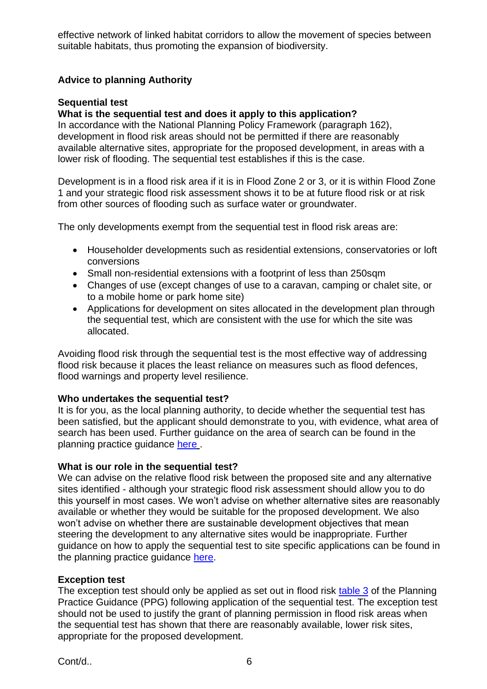effective network of linked habitat corridors to allow the movement of species between suitable habitats, thus promoting the expansion of biodiversity.

# **Advice to planning Authority**

## **Sequential test**

# **What is the sequential test and does it apply to this application?**

In accordance with the National Planning Policy Framework (paragraph 162), development in flood risk areas should not be permitted if there are reasonably available alternative sites, appropriate for the proposed development, in areas with a lower risk of flooding. The sequential test establishes if this is the case.

Development is in a flood risk area if it is in Flood Zone 2 or 3, or it is within Flood Zone 1 and your strategic flood risk assessment shows it to be at future flood risk or at risk from other sources of flooding such as surface water or groundwater.

The only developments exempt from the sequential test in flood risk areas are:

- Householder developments such as residential extensions, conservatories or loft conversions
- Small non-residential extensions with a footprint of less than 250sqm
- Changes of use (except changes of use to a caravan, camping or chalet site, or to a mobile home or park home site)
- Applications for development on sites allocated in the development plan through the sequential test, which are consistent with the use for which the site was allocated.

Avoiding flood risk through the sequential test is the most effective way of addressing flood risk because it places the least reliance on measures such as flood defences, flood warnings and property level resilience.

### **Who undertakes the sequential test?**

It is for you, as the local planning authority, to decide whether the sequential test has been satisfied, but the applicant should demonstrate to you, with evidence, what area of search has been used. Further guidance on the area of search can be found in the planning practice guidance [here](https://www.gov.uk/guidance/flood-risk-and-coastal-change#Sequential-Test-to-individual-planning-applications) .

### **What is our role in the sequential test?**

We can advise on the relative flood risk between the proposed site and any alternative sites identified - although your strategic flood risk assessment should allow you to do this yourself in most cases. We won't advise on whether alternative sites are reasonably available or whether they would be suitable for the proposed development. We also won't advise on whether there are sustainable development objectives that mean steering the development to any alternative sites would be inappropriate. Further guidance on how to apply the sequential test to site specific applications can be found in the planning practice guidance [here.](https://www.gov.uk/guidance/flood-risk-and-coastal-change#Sequential-Test-to-individual-planning-applications)

### **Exception test**

The exception test should only be applied as set out in flood risk [table 3](https://www.gov.uk/guidance/flood-risk-and-coastal-change#Table-3-Flood-risk-vulnerability) of the Planning Practice Guidance (PPG) following application of the sequential test. The exception test should not be used to justify the grant of planning permission in flood risk areas when the sequential test has shown that there are reasonably available, lower risk sites, appropriate for the proposed development.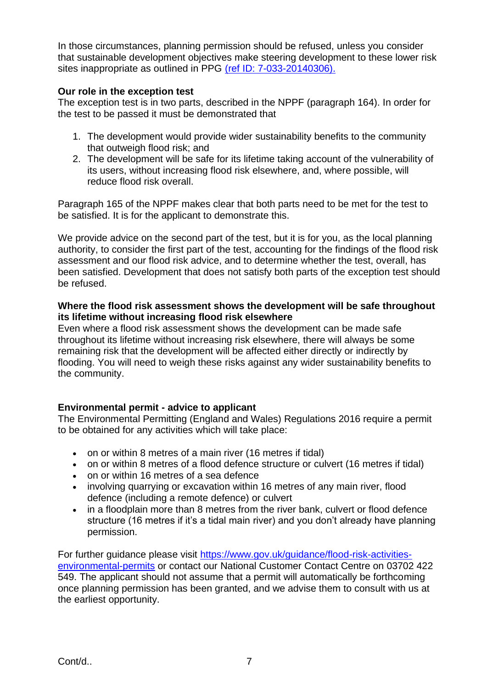In those circumstances, planning permission should be refused, unless you consider that sustainable development objectives make steering development to these lower risk sites inappropriate as outlined in PPG [\(ref ID: 7-033-20140306\).](https://www.gov.uk/guidance/flood-risk-and-coastal-change#Sequential-Test-to-individual-planning-applications)

# **Our role in the exception test**

The exception test is in two parts, described in the NPPF (paragraph 164). In order for the test to be passed it must be demonstrated that

- 1. The development would provide wider sustainability benefits to the community that outweigh flood risk; and
- 2. The development will be safe for its lifetime taking account of the vulnerability of its users, without increasing flood risk elsewhere, and, where possible, will reduce flood risk overall.

Paragraph 165 of the NPPF makes clear that both parts need to be met for the test to be satisfied. It is for the applicant to demonstrate this.

We provide advice on the second part of the test, but it is for you, as the local planning authority, to consider the first part of the test, accounting for the findings of the flood risk assessment and our flood risk advice, and to determine whether the test, overall, has been satisfied. Development that does not satisfy both parts of the exception test should be refused.

## **Where the flood risk assessment shows the development will be safe throughout its lifetime without increasing flood risk elsewhere**

Even where a flood risk assessment shows the development can be made safe throughout its lifetime without increasing risk elsewhere, there will always be some remaining risk that the development will be affected either directly or indirectly by flooding. You will need to weigh these risks against any wider sustainability benefits to the community.

# **Environmental permit - advice to applicant**

The Environmental Permitting (England and Wales) Regulations 2016 require a permit to be obtained for any activities which will take place:

- on or within 8 metres of a main river (16 metres if tidal)
- on or within 8 metres of a flood defence structure or culvert (16 metres if tidal)
- on or within 16 metres of a sea defence
- involving quarrying or excavation within 16 metres of any main river, flood defence (including a remote defence) or culvert
- in a floodplain more than 8 metres from the river bank, culvert or flood defence structure (16 metres if it's a tidal main river) and you don't already have planning permission.

For further guidance please visit [https://www.gov.uk/guidance/flood-risk-activities](https://www.gov.uk/guidance/flood-risk-activities-environmental-permits)[environmental-permits](https://www.gov.uk/guidance/flood-risk-activities-environmental-permits) or contact our National Customer Contact Centre on 03702 422 549. The applicant should not assume that a permit will automatically be forthcoming once planning permission has been granted, and we advise them to consult with us at the earliest opportunity.